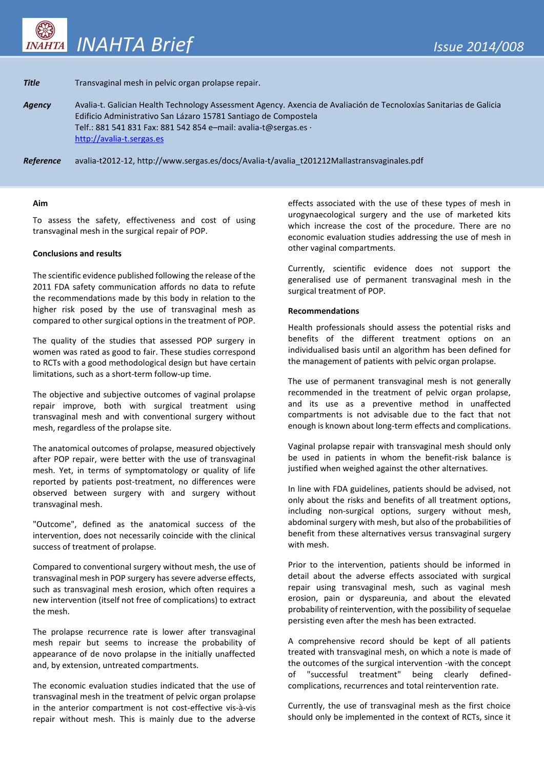# **Title** Transvaginal mesh in pelvic organ prolapse repair.

*Agency* Avalia-t. Galician Health Technology Assessment Agency. Axencia de Avaliación de Tecnoloxías Sanitarias de Galicia Edificio Administrativo San Lázaro 15781 Santiago de Compostela Telf.: 881 541 831 Fax: 881 542 854 e–mail: avalia-t@sergas.es · [http://avalia-t.sergas.es](http://avalia-t.sergas.es/)

*Reference* avalia-t2012-12, http://www.sergas.es/docs/Avalia-t/avalia\_t201212Mallastransvaginales.pdf

#### **Aim**

To assess the safety, effectiveness and cost of using transvaginal mesh in the surgical repair of POP.

# **Conclusions and results**

The scientific evidence published following the release of the 2011 FDA safety communication affords no data to refute the recommendations made by this body in relation to the higher risk posed by the use of transvaginal mesh as compared to other surgical options in the treatment of POP.

The quality of the studies that assessed POP surgery in women was rated as good to fair. These studies correspond to RCTs with a good methodological design but have certain limitations, such as a short-term follow-up time.

The objective and subjective outcomes of vaginal prolapse repair improve, both with surgical treatment using transvaginal mesh and with conventional surgery without mesh, regardless of the prolapse site.

The anatomical outcomes of prolapse, measured objectively after POP repair, were better with the use of transvaginal mesh. Yet, in terms of symptomatology or quality of life reported by patients post-treatment, no differences were observed between surgery with and surgery without transvaginal mesh.

"Outcome", defined as the anatomical success of the intervention, does not necessarily coincide with the clinical success of treatment of prolapse.

Compared to conventional surgery without mesh, the use of transvaginal mesh in POP surgery has severe adverse effects, such as transvaginal mesh erosion, which often requires a new intervention (itself not free of complications) to extract the mesh.

The prolapse recurrence rate is lower after transvaginal mesh repair but seems to increase the probability of appearance of de novo prolapse in the initially unaffected and, by extension, untreated compartments.

The economic evaluation studies indicated that the use of transvaginal mesh in the treatment of pelvic organ prolapse in the anterior compartment is not cost-effective vis-à-vis repair without mesh. This is mainly due to the adverse effects associated with the use of these types of mesh in urogynaecological surgery and the use of marketed kits which increase the cost of the procedure. There are no economic evaluation studies addressing the use of mesh in other vaginal compartments.

Currently, scientific evidence does not support the generalised use of permanent transvaginal mesh in the surgical treatment of POP.

### **Recommendations**

Health professionals should assess the potential risks and benefits of the different treatment options on an individualised basis until an algorithm has been defined for the management of patients with pelvic organ prolapse.

The use of permanent transvaginal mesh is not generally recommended in the treatment of pelvic organ prolapse, and its use as a preventive method in unaffected compartments is not advisable due to the fact that not enough is known about long-term effects and complications.

Vaginal prolapse repair with transvaginal mesh should only be used in patients in whom the benefit-risk balance is justified when weighed against the other alternatives.

In line with FDA guidelines, patients should be advised, not only about the risks and benefits of all treatment options, including non-surgical options, surgery without mesh, abdominal surgery with mesh, but also of the probabilities of benefit from these alternatives versus transvaginal surgery with mesh.

Prior to the intervention, patients should be informed in detail about the adverse effects associated with surgical repair using transvaginal mesh, such as vaginal mesh erosion, pain or dyspareunia, and about the elevated probability of reintervention, with the possibility of sequelae persisting even after the mesh has been extracted.

A comprehensive record should be kept of all patients treated with transvaginal mesh, on which a note is made of the outcomes of the surgical intervention -with the concept of "successful treatment" being clearly definedcomplications, recurrences and total reintervention rate.

Currently, the use of transvaginal mesh as the first choice should only be implemented in the context of RCTs, since it